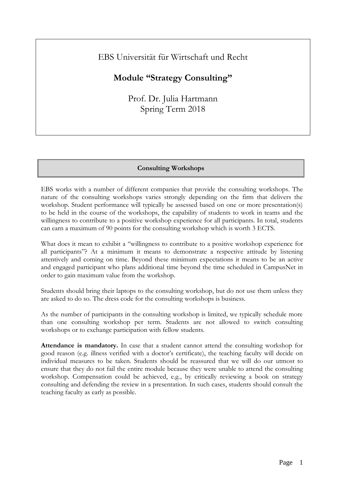## EBS Universität für Wirtschaft und Recht

# **Module "Strategy Consulting"**

Prof. Dr. Julia Hartmann Spring Term 2018

## **Consulting Workshops**

EBS works with a number of different companies that provide the consulting workshops. The nature of the consulting workshops varies strongly depending on the firm that delivers the workshop. Student performance will typically be assessed based on one or more presentation(s) to be held in the course of the workshops, the capability of students to work in teams and the willingness to contribute to a positive workshop experience for all participants. In total, students can earn a maximum of 90 points for the consulting workshop which is worth 3 ECTS.

What does it mean to exhibit a "willingness to contribute to a positive workshop experience for all participants"? At a minimum it means to demonstrate a respective attitude by listening attentively and coming on time. Beyond these minimum expectations it means to be an active and engaged participant who plans additional time beyond the time scheduled in CampusNet in order to gain maximum value from the workshop.

Students should bring their laptops to the consulting workshop, but do not use them unless they are asked to do so. The dress code for the consulting workshops is business.

As the number of participants in the consulting workshop is limited, we typically schedule more than one consulting workshop per term. Students are not allowed to switch consulting workshops or to exchange participation with fellow students.

**Attendance is mandatory.** In case that a student cannot attend the consulting workshop for good reason (e.g. illness verified with a doctor's certificate), the teaching faculty will decide on individual measures to be taken. Students should be reassured that we will do our utmost to ensure that they do not fail the entire module because they were unable to attend the consulting workshop. Compensation could be achieved, e.g., by critically reviewing a book on strategy consulting and defending the review in a presentation. In such cases, students should consult the teaching faculty as early as possible.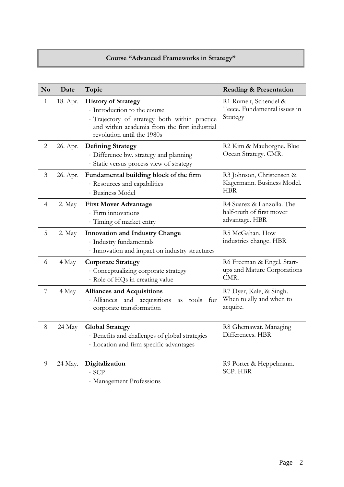## **Course "Advanced Frameworks in Strategy"**

| N <sub>o</sub> | Date     | Topic                                                                                                                                                                                      | <b>Reading &amp; Presentation</b>                                        |
|----------------|----------|--------------------------------------------------------------------------------------------------------------------------------------------------------------------------------------------|--------------------------------------------------------------------------|
| $\mathbf{1}$   | 18. Apr. | <b>History of Strategy</b><br>· Introduction to the course<br>· Trajectory of strategy both within practice<br>and within academia from the first industrial<br>revolution until the 1980s | R1 Rumelt, Schendel &<br>Teece. Fundamental issues in<br>Strategy        |
| $\overline{2}$ | 26. Apr. | <b>Defining Strategy</b><br>· Difference bw. strategy and planning<br>· Static versus process view of strategy                                                                             | R2 Kim & Mauborgne. Blue<br>Ocean Strategy. CMR.                         |
| $\mathfrak{Z}$ | 26. Apr. | Fundamental building block of the firm<br>· Resources and capabilities<br>· Business Model                                                                                                 | R3 Johnson, Christensen &<br>Kagermann. Business Model.<br><b>HBR</b>    |
| $\overline{4}$ | 2. May   | <b>First Mover Advantage</b><br>· Firm innovations<br>· Timing of market entry                                                                                                             | R4 Suarez & Lanzolla. The<br>half-truth of first mover<br>advantage. HBR |
| 5              | 2. May   | <b>Innovation and Industry Change</b><br>· Industry fundamentals<br>· Innovation and impact on industry structures                                                                         | R5 McGahan. How<br>industries change. HBR                                |
| 6              | 4 May    | <b>Corporate Strategy</b><br>· Conceptualizing corporate strategy<br>· Role of HQs in creating value                                                                                       | R6 Freeman & Engel. Start-<br>ups and Mature Corporations<br>CMR.        |
| $\overline{7}$ | 4 May    | <b>Alliances and Acquisitions</b><br>· Alliances and acquisitions<br>tools for<br>as<br>corporate transformation                                                                           | R7 Dyer, Kale, & Singh.<br>When to ally and when to<br>acquire.          |
| $8\,$          | 24 May   | <b>Global Strategy</b><br>· Benefits and challenges of global strategies<br>· Location and firm specific advantages                                                                        | R8 Ghemawat. Managing<br>Differences. HBR                                |
| 9              | 24 May.  | Digitalization<br>$\cdot$ SCP<br>· Management Professions                                                                                                                                  | R9 Porter & Heppelmann.<br><b>SCP. HBR</b>                               |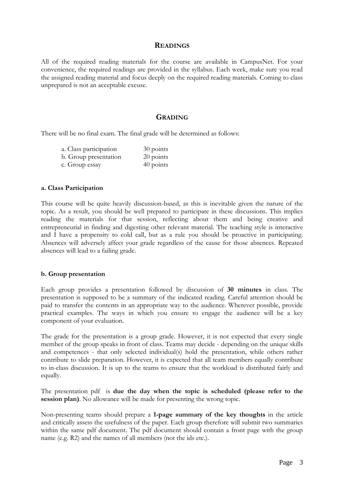#### **READINGS**

All of the required reading materials for the course are available in CampusNet. For your convenience, the required readings are provided in the syllabus. Each week, make sure you read the assigned reading material and focus deeply on the required reading materials. Coming to class unprepared is not an acceptable excuse.

### **GRADING**

There will be no final exam. The final grade will be determined as follows:

| a. Class participation | 30 points |
|------------------------|-----------|
| b. Group presentation  | 20 points |
| c. Group essay         | 40 points |

#### **a. Class Participation**

This course will be quite heavily discussion-based, as this is inevitable given the nature of the topic. As a result, you should be well prepared to participate in these discussions. This implies reading the materials for that session, reflecting about them and being creative and entrepreneurial in finding and digesting other relevant material. The teaching style is interactive and I have a propensity to cold call, but as a rule you should be proactive in participating. Absences will adversely affect your grade regardless of the cause for those absences. Repeated absences will lead to a failing grade.

#### **b. Group presentation**

Each group provides a presentation followed by discussion of **30 minutes** in class. The presentation is supposed to be a summary of the indicated reading. Careful attention should be paid to transfer the contents in an appropriate way to the audience. Wherever possible, provide practical examples. The ways in which you ensure to engage the audience will be a key component of your evaluation.

The grade for the presentation is a group grade. However, it is not expected that every single member of the group speaks in front of class. Teams may decide - depending on the unique skills and competences - that only selected individual(s) hold the presentation, while others rather contribute to slide preparation. However, it is expected that all team members equally contribute to in-class discussion. It is up to the teams to ensure that the workload is distributed fairly and equally.

The presentation pdf is **due the day when the topic is scheduled (please refer to the session plan)**. No allowance will be made for presenting the wrong topic.

Non-presenting teams should prepare a **1-page summary of the key thoughts** in the article and critically assess the usefulness of the paper. Each group therefore will submit two summaries within the same pdf document. The pdf document should contain a front page with the group name (e.g. R2) and the names of all members (not the ids etc.).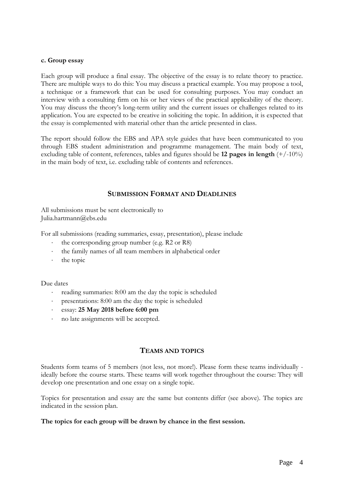#### **c. Group essay**

Each group will produce a final essay. The objective of the essay is to relate theory to practice. There are multiple ways to do this: You may discuss a practical example. You may propose a tool, a technique or a framework that can be used for consulting purposes. You may conduct an interview with a consulting firm on his or her views of the practical applicability of the theory. You may discuss the theory's long-term utility and the current issues or challenges related to its application. You are expected to be creative in soliciting the topic. In addition, it is expected that the essay is complemented with material other than the article presented in class.

The report should follow the EBS and APA style guides that have been communicated to you through EBS student administration and programme management. The main body of text, excluding table of content, references, tables and figures should be **12 pages in length** (+/-10%) in the main body of text, i.e. excluding table of contents and references.

## **SUBMISSION FORMAT AND DEADLINES**

All submissions must be sent electronically to Julia.hartmann@ebs.edu

For all submissions (reading summaries, essay, presentation), please include

- the corresponding group number (e.g. R2 or R8)
- the family names of all team members in alphabetical order
- the topic

Due dates

- reading summaries: 8:00 am the day the topic is scheduled
- presentations: 8:00 am the day the topic is scheduled
- essay: **25 May 2018 before 6:00 pm**
- no late assignments will be accepted.

## **TEAMS AND TOPICS**

Students form teams of 5 members (not less, not more!). Please form these teams individually ideally before the course starts. These teams will work together throughout the course: They will develop one presentation and one essay on a single topic.

Topics for presentation and essay are the same but contents differ (see above). The topics are indicated in the session plan.

#### **The topics for each group will be drawn by chance in the first session.**